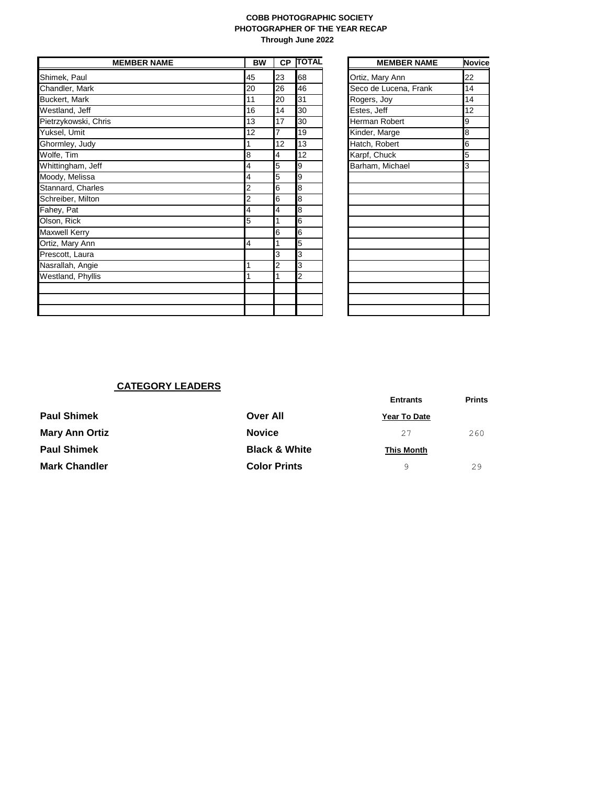## **COBB PHOTOGRAPHIC SOCIETY PHOTOGRAPHER OF THE YEAR RECAP Through June 2022**

| <b>MEMBER NAME</b>   | <b>BW</b> | <b>CP</b> | <b>TOTAL</b>   | <b>MEMBER NAME</b>    | <b>Novice</b> |
|----------------------|-----------|-----------|----------------|-----------------------|---------------|
| Shimek, Paul         | 45        | 23        | 68             | Ortiz, Mary Ann       | 22            |
| Chandler, Mark       | 20        | 26        | 46             | Seco de Lucena, Frank | 14            |
| Buckert, Mark        | 11        | 20        | 31             | Rogers, Joy           | 14            |
| Westland, Jeff       | 16        | 14        | 30             | Estes, Jeff           | 12            |
| Pietrzykowski, Chris | 13        | 17        | 30             | Herman Robert         | 9             |
| Yuksel, Umit         | 12        | 7         | 19             | Kinder, Marge         | 8             |
| Ghormley, Judy       |           | 12        | 13             | Hatch, Robert         | 6             |
| Wolfe, Tim           | 8         | 4         | 12             | Karpf, Chuck          | 5             |
| Whittingham, Jeff    | 4         | 5         | 9              | Barham, Michael       | 3             |
| Moody, Melissa       | 4         | 5         | 9              |                       |               |
| Stannard, Charles    | 2         | 6         | 8              |                       |               |
| Schreiber, Milton    | 2         | 6         | 8              |                       |               |
| Fahey, Pat           | 4         | 4         | 8              |                       |               |
| Olson, Rick          | 5         |           | 6              |                       |               |
| <b>Maxwell Kerry</b> |           | 6         | 6              |                       |               |
| Ortiz, Mary Ann      | 4         |           | $\overline{5}$ |                       |               |
| Prescott, Laura      |           | 3         | 3              |                       |               |
| Nasrallah, Angie     |           | 2         | 3              |                       |               |
| Westland, Phyllis    |           |           | 2              |                       |               |
|                      |           |           |                |                       |               |
|                      |           |           |                |                       |               |
|                      |           |           |                |                       |               |

| <b>MEMBER NAME</b>    | <b>Novice</b> |
|-----------------------|---------------|
| Ortiz, Mary Ann       | 22            |
| Seco de Lucena, Frank | 14            |
| Rogers, Joy           | 14            |
| Estes, Jeff           | 12            |
| Herman Robert         | 9             |
| Kinder, Marge         | 8             |
| Hatch, Robert         | 6             |
| Karpf, Chuck          | 5             |
| Barham, Michael       | 3             |
|                       |               |
|                       |               |
|                       |               |
|                       |               |
|                       |               |
|                       |               |
|                       |               |
|                       |               |
|                       |               |
|                       |               |
|                       |               |
|                       |               |
|                       |               |

## **CATEGORY LEADERS**

|                       |                          | <b>Entrants</b> | <b>Prints</b> |
|-----------------------|--------------------------|-----------------|---------------|
| <b>Paul Shimek</b>    | <b>Over All</b>          | Year To Date    |               |
| <b>Mary Ann Ortiz</b> | <b>Novice</b>            | 27              | 260           |
| <b>Paul Shimek</b>    | <b>Black &amp; White</b> | This Month      |               |
| <b>Mark Chandler</b>  | <b>Color Prints</b>      | q               | 29            |